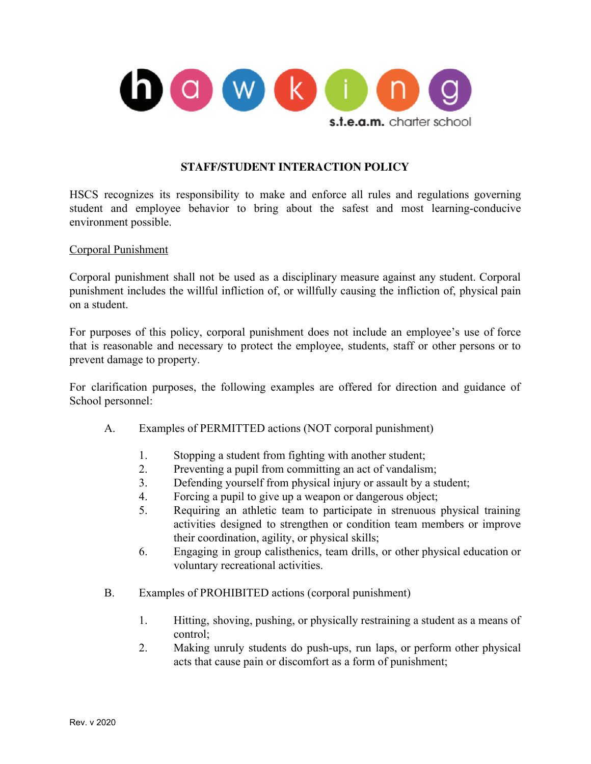

# **STAFF/STUDENT INTERACTION POLICY**

HSCS recognizes its responsibility to make and enforce all rules and regulations governing student and employee behavior to bring about the safest and most learning-conducive environment possible.

#### Corporal Punishment

Corporal punishment shall not be used as a disciplinary measure against any student. Corporal punishment includes the willful infliction of, or willfully causing the infliction of, physical pain on a student.

For purposes of this policy, corporal punishment does not include an employee's use of force that is reasonable and necessary to protect the employee, students, staff or other persons or to prevent damage to property.

For clarification purposes, the following examples are offered for direction and guidance of School personnel:

- A. Examples of PERMITTED actions (NOT corporal punishment)
	- 1. Stopping a student from fighting with another student;
	- 2. Preventing a pupil from committing an act of vandalism;
	- 3. Defending yourself from physical injury or assault by a student;
	- 4. Forcing a pupil to give up a weapon or dangerous object;
	- 5. Requiring an athletic team to participate in strenuous physical training activities designed to strengthen or condition team members or improve their coordination, agility, or physical skills;
	- 6. Engaging in group calisthenics, team drills, or other physical education or voluntary recreational activities.
- B. Examples of PROHIBITED actions (corporal punishment)
	- 1. Hitting, shoving, pushing, or physically restraining a student as a means of control;
	- 2. Making unruly students do push-ups, run laps, or perform other physical acts that cause pain or discomfort as a form of punishment;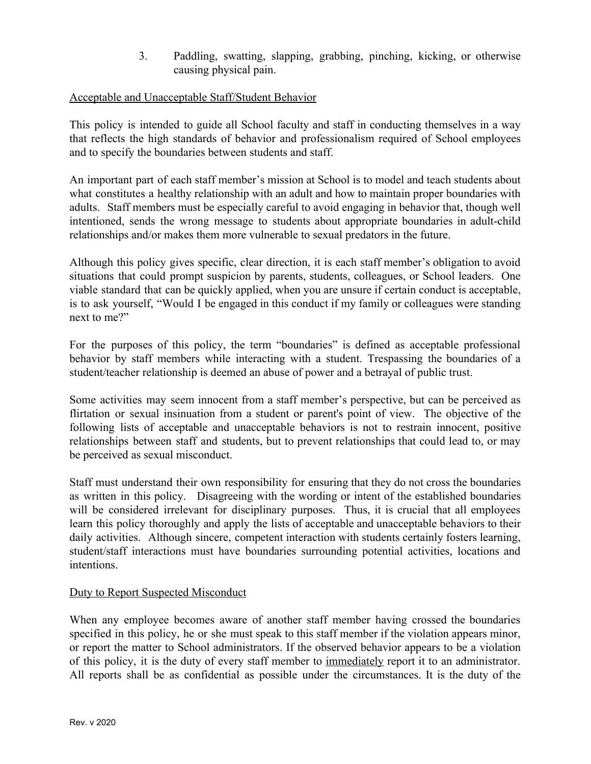3. Paddling, swatting, slapping, grabbing, pinching, kicking, or otherwise causing physical pain.

# Acceptable and Unacceptable Staff/Student Behavior

This policy is intended to guide all School faculty and staff in conducting themselves in a way that reflects the high standards of behavior and professionalism required of School employees and to specify the boundaries between students and staff.

An important part of each staff member's mission at School is to model and teach students about what constitutes a healthy relationship with an adult and how to maintain proper boundaries with adults. Staff members must be especially careful to avoid engaging in behavior that, though well intentioned, sends the wrong message to students about appropriate boundaries in adult-child relationships and/or makes them more vulnerable to sexual predators in the future.

Although this policy gives specific, clear direction, it is each staff member's obligation to avoid situations that could prompt suspicion by parents, students, colleagues, or School leaders. One viable standard that can be quickly applied, when you are unsure if certain conduct is acceptable, is to ask yourself, "Would I be engaged in this conduct if my family or colleagues were standing next to me?"

For the purposes of this policy, the term "boundaries" is defined as acceptable professional behavior by staff members while interacting with a student. Trespassing the boundaries of a student/teacher relationship is deemed an abuse of power and a betrayal of public trust.

Some activities may seem innocent from a staff member's perspective, but can be perceived as flirtation or sexual insinuation from a student or parent's point of view. The objective of the following lists of acceptable and unacceptable behaviors is not to restrain innocent, positive relationships between staff and students, but to prevent relationships that could lead to, or may be perceived as sexual misconduct.

Staff must understand their own responsibility for ensuring that they do not cross the boundaries as written in this policy. Disagreeing with the wording or intent of the established boundaries will be considered irrelevant for disciplinary purposes. Thus, it is crucial that all employees learn this policy thoroughly and apply the lists of acceptable and unacceptable behaviors to their daily activities. Although sincere, competent interaction with students certainly fosters learning, student/staff interactions must have boundaries surrounding potential activities, locations and intentions.

## Duty to Report Suspected Misconduct

When any employee becomes aware of another staff member having crossed the boundaries specified in this policy, he or she must speak to this staff member if the violation appears minor, or report the matter to School administrators. If the observed behavior appears to be a violation of this policy, it is the duty of every staff member to immediately report it to an administrator. All reports shall be as confidential as possible under the circumstances. It is the duty of the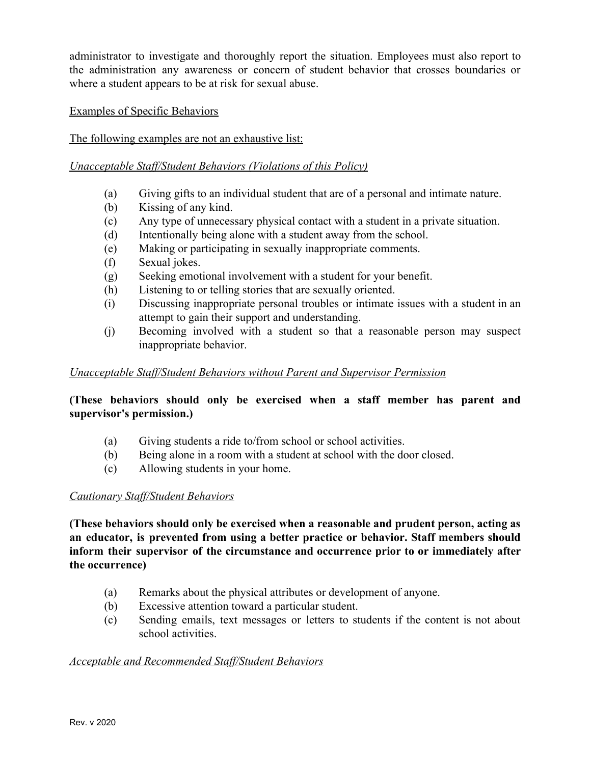administrator to investigate and thoroughly report the situation. Employees must also report to the administration any awareness or concern of student behavior that crosses boundaries or where a student appears to be at risk for sexual abuse.

# Examples of Specific Behaviors

# The following examples are not an exhaustive list:

#### *Unacceptable Staff/Student Behaviors (Violations of this Policy)*

- (a) Giving gifts to an individual student that are of a personal and intimate nature.
- (b) Kissing of any kind.
- (c) Any type of unnecessary physical contact with a student in a private situation.
- (d) Intentionally being alone with a student away from the school.
- (e) Making or participating in sexually inappropriate comments.
- (f) Sexual jokes.
- (g) Seeking emotional involvement with a student for your benefit.
- (h) Listening to or telling stories that are sexually oriented.
- (i) Discussing inappropriate personal troubles or intimate issues with a student in an attempt to gain their support and understanding.
- (j) Becoming involved with a student so that a reasonable person may suspect inappropriate behavior.

## *Unacceptable Staff/Student Behaviors without Parent and Supervisor Permission*

# **(These behaviors should only be exercised when a staff member has parent and supervisor's permission.)**

- (a) Giving students a ride to/from school or school activities.
- (b) Being alone in a room with a student at school with the door closed.
- (c) Allowing students in your home.

## *Cautionary Staff/Student Behaviors*

**(These behaviors should only be exercised when a reasonable and prudent person, acting as an educator, is prevented from using a better practice or behavior. Staff members should inform their supervisor of the circumstance and occurrence prior to or immediately after the occurrence)**

- (a) Remarks about the physical attributes or development of anyone.
- (b) Excessive attention toward a particular student.
- (c) Sending emails, text messages or letters to students if the content is not about school activities.

## *Acceptable and Recommended Staff/Student Behaviors*